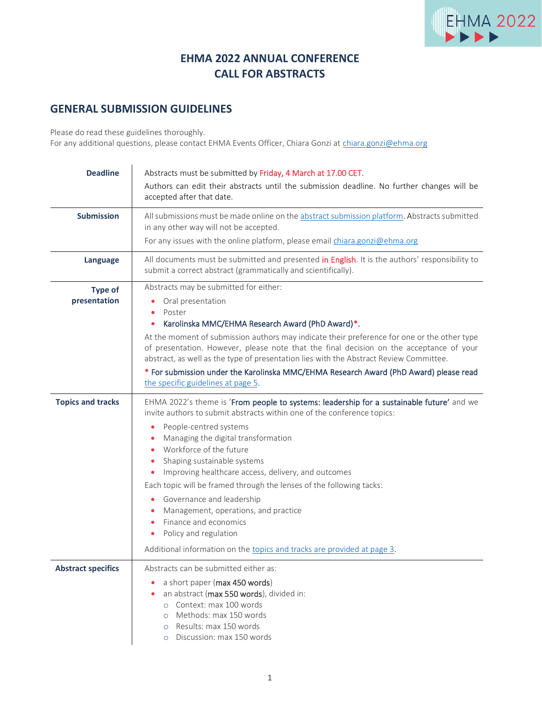

## **EHMA 2022 ANNUAL CONFERENCE CALL FOR ABSTRACTS**

## **GENERAL SUBMISSION GUIDELINES**

Please do read these guidelines thoroughly.

For any additional questions, please contact EHMA Events Officer, Chiara Gonzi at [chiara.gonzi@ehma.org](mailto:chiara.gonzi@ehma.org)

| <b>Deadline</b>                | Abstracts must be submitted by Friday, 4 March at 17.00 CET.<br>Authors can edit their abstracts until the submission deadline. No further changes will be<br>accepted after that date.                                                                                                                                                                                                                                                                                                                                                                                                                                                       |
|--------------------------------|-----------------------------------------------------------------------------------------------------------------------------------------------------------------------------------------------------------------------------------------------------------------------------------------------------------------------------------------------------------------------------------------------------------------------------------------------------------------------------------------------------------------------------------------------------------------------------------------------------------------------------------------------|
| <b>Submission</b>              | All submissions must be made online on the abstract submission platform. Abstracts submitted<br>in any other way will not be accepted.<br>For any issues with the online platform, please email chiara.gonzi@ehma.org                                                                                                                                                                                                                                                                                                                                                                                                                         |
| Language                       | All documents must be submitted and presented in English. It is the authors' responsibility to<br>submit a correct abstract (grammatically and scientifically).                                                                                                                                                                                                                                                                                                                                                                                                                                                                               |
| <b>Type of</b><br>presentation | Abstracts may be submitted for either:<br>Oral presentation<br>Poster<br>Karolinska MMC/EHMA Research Award (PhD Award)*.<br>At the moment of submission authors may indicate their preference for one or the other type<br>of presentation. However, please note that the final decision on the acceptance of your<br>abstract, as well as the type of presentation lies with the Abstract Review Committee.<br>* For submission under the Karolinska MMC/EHMA Research Award (PhD Award) please read<br>the specific guidelines at page 5.                                                                                                  |
| <b>Topics and tracks</b>       | EHMA 2022's theme is 'From people to systems: leadership for a sustainable future' and we<br>invite authors to submit abstracts within one of the conference topics:<br>People-centred systems<br>$\bullet$<br>Managing the digital transformation<br>Workforce of the future<br>Shaping sustainable systems<br>Improving healthcare access, delivery, and outcomes<br>Each topic will be framed through the lenses of the following tacks:<br>Governance and leadership<br>Management, operations, and practice<br>Finance and economics<br>Policy and regulation<br>Additional information on the topics and tracks are provided at page 3. |
| <b>Abstract specifics</b>      | Abstracts can be submitted either as:<br>a short paper (max 450 words)<br>an abstract (max 550 words), divided in:<br>Context: max 100 words<br>$\circ$<br>Methods: max 150 words<br>$\circ$<br>Results: max 150 words<br>$\circ$<br>Discussion: max 150 words<br>$\circ$                                                                                                                                                                                                                                                                                                                                                                     |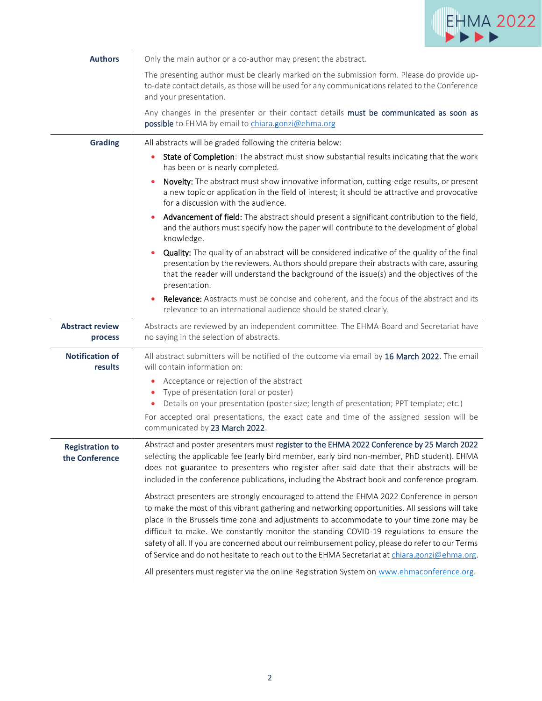

| <b>Authors</b>                           | Only the main author or a co-author may present the abstract.                                                                                                                                                                                                                                                                                                                                                                                                                                                                                                                                                                                                                         |
|------------------------------------------|---------------------------------------------------------------------------------------------------------------------------------------------------------------------------------------------------------------------------------------------------------------------------------------------------------------------------------------------------------------------------------------------------------------------------------------------------------------------------------------------------------------------------------------------------------------------------------------------------------------------------------------------------------------------------------------|
|                                          | The presenting author must be clearly marked on the submission form. Please do provide up-<br>to-date contact details, as those will be used for any communications related to the Conference<br>and your presentation.                                                                                                                                                                                                                                                                                                                                                                                                                                                               |
|                                          | Any changes in the presenter or their contact details must be communicated as soon as<br>possible to EHMA by email to chiara.gonzi@ehma.org                                                                                                                                                                                                                                                                                                                                                                                                                                                                                                                                           |
| <b>Grading</b>                           | All abstracts will be graded following the criteria below:                                                                                                                                                                                                                                                                                                                                                                                                                                                                                                                                                                                                                            |
|                                          | State of Completion: The abstract must show substantial results indicating that the work<br>٠<br>has been or is nearly completed.                                                                                                                                                                                                                                                                                                                                                                                                                                                                                                                                                     |
|                                          | Novelty: The abstract must show innovative information, cutting-edge results, or present<br>a new topic or application in the field of interest; it should be attractive and provocative<br>for a discussion with the audience.                                                                                                                                                                                                                                                                                                                                                                                                                                                       |
|                                          | Advancement of field: The abstract should present a significant contribution to the field,<br>and the authors must specify how the paper will contribute to the development of global<br>knowledge.                                                                                                                                                                                                                                                                                                                                                                                                                                                                                   |
|                                          | Quality: The quality of an abstract will be considered indicative of the quality of the final<br>presentation by the reviewers. Authors should prepare their abstracts with care, assuring<br>that the reader will understand the background of the issue(s) and the objectives of the<br>presentation.                                                                                                                                                                                                                                                                                                                                                                               |
|                                          | Relevance: Abstracts must be concise and coherent, and the focus of the abstract and its<br>relevance to an international audience should be stated clearly.                                                                                                                                                                                                                                                                                                                                                                                                                                                                                                                          |
| <b>Abstract review</b><br>process        | Abstracts are reviewed by an independent committee. The EHMA Board and Secretariat have<br>no saying in the selection of abstracts.                                                                                                                                                                                                                                                                                                                                                                                                                                                                                                                                                   |
| <b>Notification of</b><br>results        | All abstract submitters will be notified of the outcome via email by 16 March 2022. The email<br>will contain information on:                                                                                                                                                                                                                                                                                                                                                                                                                                                                                                                                                         |
|                                          | Acceptance or rejection of the abstract<br>۰                                                                                                                                                                                                                                                                                                                                                                                                                                                                                                                                                                                                                                          |
|                                          | Type of presentation (oral or poster)<br>۰<br>Details on your presentation (poster size; length of presentation; PPT template; etc.)                                                                                                                                                                                                                                                                                                                                                                                                                                                                                                                                                  |
|                                          | For accepted oral presentations, the exact date and time of the assigned session will be<br>communicated by 23 March 2022.                                                                                                                                                                                                                                                                                                                                                                                                                                                                                                                                                            |
| <b>Registration to</b><br>the Conference | Abstract and poster presenters must register to the EHMA 2022 Conference by 25 March 2022<br>selecting the applicable fee (early bird member, early bird non-member, PhD student). EHMA<br>does not guarantee to presenters who register after said date that their abstracts will be<br>included in the conference publications, including the Abstract book and conference program.                                                                                                                                                                                                                                                                                                 |
|                                          | Abstract presenters are strongly encouraged to attend the EHMA 2022 Conference in person<br>to make the most of this vibrant gathering and networking opportunities. All sessions will take<br>place in the Brussels time zone and adjustments to accommodate to your time zone may be<br>difficult to make. We constantly monitor the standing COVID-19 regulations to ensure the<br>safety of all. If you are concerned about our reimbursement policy, please do refer to our Terms<br>of Service and do not hesitate to reach out to the EHMA Secretariat at chiara.gonzi@ehma.org.<br>All presenters must register via the online Registration System on www.ehmaconference.org. |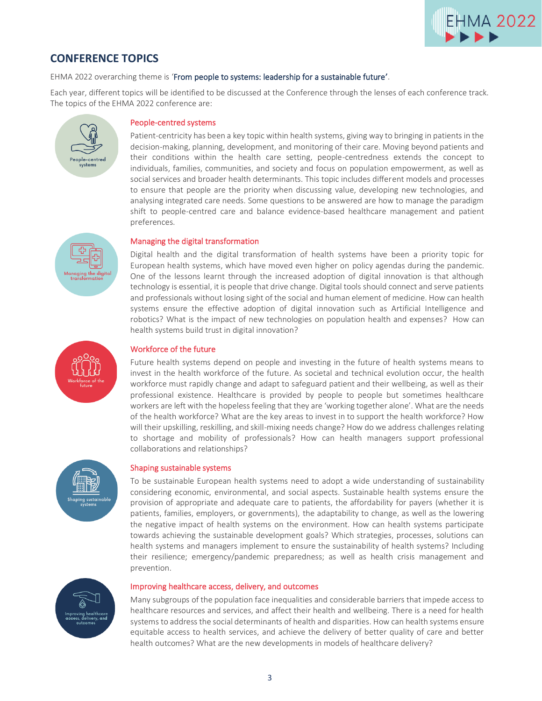

## <span id="page-2-0"></span>**CONFERENCE TOPICS**

EHMA 2022 overarching theme is 'From people to systems: leadership for a sustainable future'.

Each year, different topics will be identified to be discussed at the Conference through the lenses of each conference track. The topics of the EHMA 2022 conference are:



### People-centred systems

Patient-centricity has been a key topic within health systems, giving way to bringing in patients in the decision-making, planning, development, and monitoring of their care. Moving beyond patients and their conditions within the health care setting, people-centredness extends the concept to individuals, families, communities, and society and focus on population empowerment, as well as social services and broader health determinants. This topic includes different models and processes to ensure that people are the priority when discussing value, developing new technologies, and analysing integrated care needs. Some questions to be answered are how to manage the paradigm shift to people-centred care and balance evidence-based healthcare management and patient preferences.

#### Managing the digital transformation

Digital health and the digital transformation of health systems have been a priority topic for European health systems, which have moved even higher on policy agendas during the pandemic. One of the lessons learnt through the increased adoption of digital innovation is that although technology is essential, it is people that drive change. Digital tools should connect and serve patients and professionals without losing sight of the social and human element of medicine. How can health systems ensure the effective adoption of digital innovation such as Artificial Intelligence and robotics? What is the impact of new technologies on population health and expenses? How can health systems build trust in digital innovation?



#### Workforce of the future

Future health systems depend on people and investing in the future of health systems means to invest in the health workforce of the future. As societal and technical evolution occur, the health workforce must rapidly change and adapt to safeguard patient and their wellbeing, as well as their professional existence. Healthcare is provided by people to people but sometimes healthcare workers are left with the hopeless feeling that they are 'working together alone'. What are the needs of the health workforce? What are the key areas to invest in to support the health workforce? How will their upskilling, reskilling, and skill-mixing needs change? How do we address challenges relating to shortage and mobility of professionals? How can health managers support professional collaborations and relationships?



#### Shaping sustainable systems

To be sustainable European health systems need to adopt a wide understanding of sustainability considering economic, environmental, and social aspects. Sustainable health systems ensure the provision of appropriate and adequate care to patients, the affordability for payers (whether it is patients, families, employers, or governments), the adaptability to change, as well as the lowering the negative impact of health systems on the environment. How can health systems participate towards achieving the sustainable development goals? Which strategies, processes, solutions can health systems and managers implement to ensure the sustainability of health systems? Including their resilience; emergency/pandemic preparedness; as well as health crisis management and prevention.



#### Improving healthcare access, delivery, and outcomes

Many subgroups of the population face inequalities and considerable barriers that impede access to healthcare resources and services, and affect their health and wellbeing. There is a need for health systems to address the social determinants of health and disparities. How can health systems ensure equitable access to health services, and achieve the delivery of better quality of care and better health outcomes? What are the new developments in models of healthcare delivery?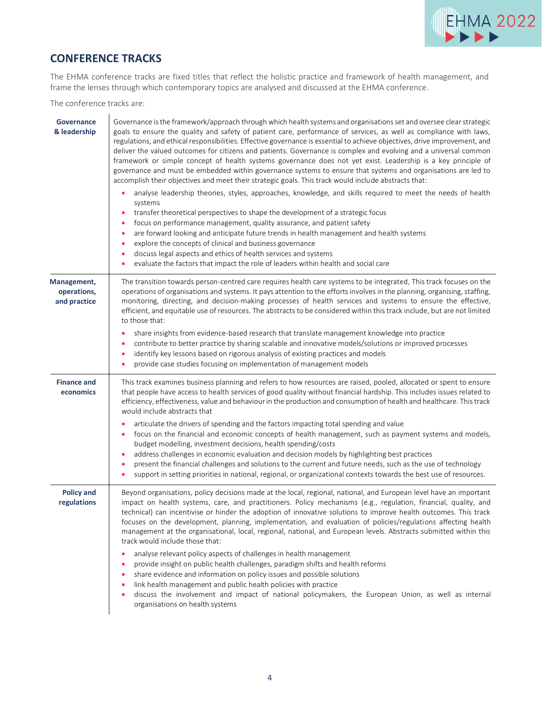

# **CONFERENCE TRACKS**

The EHMA conference tracks are fixed titles that reflect the holistic practice and framework of health management, and frame the lenses through which contemporary topics are analysed and discussed at the EHMA conference.

The conference tracks are:

<span id="page-3-0"></span>

| <b>Governance</b><br>& leadership          | Governance is the framework/approach through which health systems and organisations set and oversee clear strategic<br>goals to ensure the quality and safety of patient care, performance of services, as well as compliance with laws,<br>regulations, and ethical responsibilities. Effective governance is essential to achieve objectives, drive improvement, and<br>deliver the valued outcomes for citizens and patients. Governance is complex and evolving and a universal common<br>framework or simple concept of health systems governance does not yet exist. Leadership is a key principle of<br>governance and must be embedded within governance systems to ensure that systems and organisations are led to<br>accomplish their objectives and meet their strategic goals. This track would include abstracts that:<br>analyse leadership theories, styles, approaches, knowledge, and skills required to meet the needs of health<br>٠<br>systems<br>transfer theoretical perspectives to shape the development of a strategic focus<br>٠<br>focus on performance management, quality assurance, and patient safety<br>۰<br>are forward looking and anticipate future trends in health management and health systems<br>٠<br>explore the concepts of clinical and business governance<br>٠<br>discuss legal aspects and ethics of health services and systems<br>۰<br>evaluate the factors that impact the role of leaders within health and social care<br>۰ |
|--------------------------------------------|---------------------------------------------------------------------------------------------------------------------------------------------------------------------------------------------------------------------------------------------------------------------------------------------------------------------------------------------------------------------------------------------------------------------------------------------------------------------------------------------------------------------------------------------------------------------------------------------------------------------------------------------------------------------------------------------------------------------------------------------------------------------------------------------------------------------------------------------------------------------------------------------------------------------------------------------------------------------------------------------------------------------------------------------------------------------------------------------------------------------------------------------------------------------------------------------------------------------------------------------------------------------------------------------------------------------------------------------------------------------------------------------------------------------------------------------------------------------------------|
| Management,<br>operations,<br>and practice | The transition towards person-centred care requires health care systems to be integrated, This track focuses on the<br>operations of organisations and systems. It pays attention to the efforts involves in the planning, organising, staffing,<br>monitoring, directing, and decision-making processes of health services and systems to ensure the effective,<br>efficient, and equitable use of resources. The abstracts to be considered within this track include, but are not limited<br>to those that:<br>share insights from evidence-based research that translate management knowledge into practice<br>٠<br>contribute to better practice by sharing scalable and innovative models/solutions or improved processes<br>۰<br>identify key lessons based on rigorous analysis of existing practices and models<br>٠<br>provide case studies focusing on implementation of management models                                                                                                                                                                                                                                                                                                                                                                                                                                                                                                                                                                           |
| <b>Finance and</b><br>economics            | This track examines business planning and refers to how resources are raised, pooled, allocated or spent to ensure<br>that people have access to health services of good quality without financial hardship. This includes issues related to<br>efficiency, effectiveness, value and behaviour in the production and consumption of health and healthcare. This track<br>would include abstracts that<br>articulate the drivers of spending and the factors impacting total spending and value<br>٠<br>focus on the financial and economic concepts of health management, such as payment systems and models,<br>۰<br>budget modelling, investment decisions, health spending/costs<br>address challenges in economic evaluation and decision models by highlighting best practices<br>٠<br>present the financial challenges and solutions to the current and future needs, such as the use of technology<br>٠<br>support in setting priorities in national, regional, or organizational contexts towards the best use of resources.<br>٠                                                                                                                                                                                                                                                                                                                                                                                                                                       |
| <b>Policy and</b><br>regulations           | Beyond organisations, policy decisions made at the local, regional, national, and European level have an important<br>impact on health systems, care, and practitioners. Policy mechanisms (e.g., regulation, financial, quality, and<br>technical) can incentivise or hinder the adoption of innovative solutions to improve health outcomes. This track<br>focuses on the development, planning, implementation, and evaluation of policies/regulations affecting health<br>management at the organisational, local, regional, national, and European levels. Abstracts submitted within this<br>track would include those that:<br>analyse relevant policy aspects of challenges in health management<br>٠<br>provide insight on public health challenges, paradigm shifts and health reforms<br>۰<br>share evidence and information on policy issues and possible solutions<br>۰<br>link health management and public health policies with practice<br>discuss the involvement and impact of national policymakers, the European Union, as well as internal<br>۰<br>organisations on health systems                                                                                                                                                                                                                                                                                                                                                                         |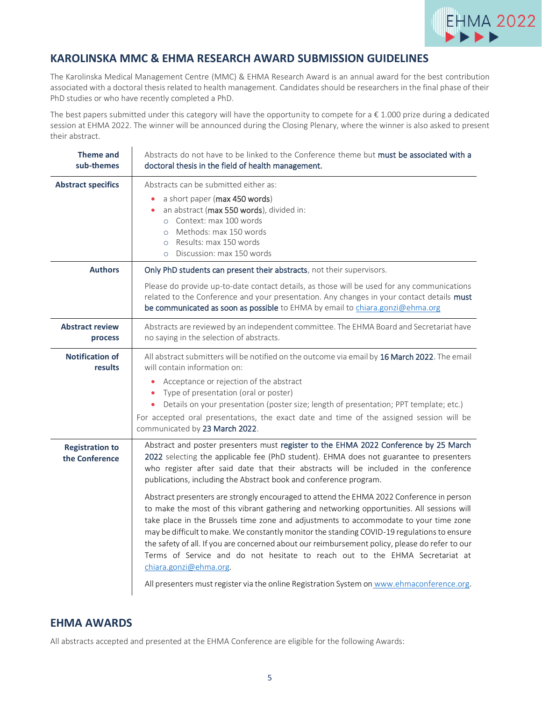

## **KAROLINSKA MMC & EHMA RESEARCH AWARD SUBMISSION GUIDELINES**

 $\mathcal{L}$ 

The Karolinska Medical Management Centre (MMC) & EHMA Research Award is an annual award for the best contribution associated with a doctoral thesis related to health management. Candidates should be researchers in the final phase of their PhD studies or who have recently completed a PhD.

The best papers submitted under this category will have the opportunity to compete for a  $\epsilon$  1.000 prize during a dedicated session at EHMA 2022. The winner will be announced during the Closing Plenary, where the winner is also asked to present their abstract.

| <b>Theme and</b><br>sub-themes           | Abstracts do not have to be linked to the Conference theme but must be associated with a<br>doctoral thesis in the field of health management.                                                                                                                                                                                                                                                                                                                                                                                                                                                                                                                                                                                                                                                                                                                                                                                                                                                                                          |
|------------------------------------------|-----------------------------------------------------------------------------------------------------------------------------------------------------------------------------------------------------------------------------------------------------------------------------------------------------------------------------------------------------------------------------------------------------------------------------------------------------------------------------------------------------------------------------------------------------------------------------------------------------------------------------------------------------------------------------------------------------------------------------------------------------------------------------------------------------------------------------------------------------------------------------------------------------------------------------------------------------------------------------------------------------------------------------------------|
| <b>Abstract specifics</b>                | Abstracts can be submitted either as:<br>a short paper (max 450 words)<br>$\bullet$<br>an abstract (max 550 words), divided in:<br>o Context: max 100 words<br>Methods: max 150 words<br>$\circ$<br>Results: max 150 words<br>$\circ$<br>o Discussion: max 150 words                                                                                                                                                                                                                                                                                                                                                                                                                                                                                                                                                                                                                                                                                                                                                                    |
| <b>Authors</b>                           | Only PhD students can present their abstracts, not their supervisors.                                                                                                                                                                                                                                                                                                                                                                                                                                                                                                                                                                                                                                                                                                                                                                                                                                                                                                                                                                   |
|                                          | Please do provide up-to-date contact details, as those will be used for any communications<br>related to the Conference and your presentation. Any changes in your contact details must<br>be communicated as soon as possible to EHMA by email to chiara.gonzi@ehma.org                                                                                                                                                                                                                                                                                                                                                                                                                                                                                                                                                                                                                                                                                                                                                                |
| <b>Abstract review</b><br>process        | Abstracts are reviewed by an independent committee. The EHMA Board and Secretariat have<br>no saying in the selection of abstracts.                                                                                                                                                                                                                                                                                                                                                                                                                                                                                                                                                                                                                                                                                                                                                                                                                                                                                                     |
| <b>Notification of</b><br>results        | All abstract submitters will be notified on the outcome via email by 16 March 2022. The email<br>will contain information on:<br>Acceptance or rejection of the abstract<br>Type of presentation (oral or poster)<br>Details on your presentation (poster size; length of presentation; PPT template; etc.)<br>For accepted oral presentations, the exact date and time of the assigned session will be<br>communicated by 23 March 2022.                                                                                                                                                                                                                                                                                                                                                                                                                                                                                                                                                                                               |
| <b>Registration to</b><br>the Conference | Abstract and poster presenters must register to the EHMA 2022 Conference by 25 March<br>2022 selecting the applicable fee (PhD student). EHMA does not guarantee to presenters<br>who register after said date that their abstracts will be included in the conference<br>publications, including the Abstract book and conference program.<br>Abstract presenters are strongly encouraged to attend the EHMA 2022 Conference in person<br>to make the most of this vibrant gathering and networking opportunities. All sessions will<br>take place in the Brussels time zone and adjustments to accommodate to your time zone<br>may be difficult to make. We constantly monitor the standing COVID-19 regulations to ensure<br>the safety of all. If you are concerned about our reimbursement policy, please do refer to our<br>Terms of Service and do not hesitate to reach out to the EHMA Secretariat at<br>chiara.gonzi@ehma.org.<br>All presenters must register via the online Registration System on www.ehmaconference.org. |

### **EHMA AWARDS**

All abstracts accepted and presented at the EHMA Conference are eligible for the following Awards: